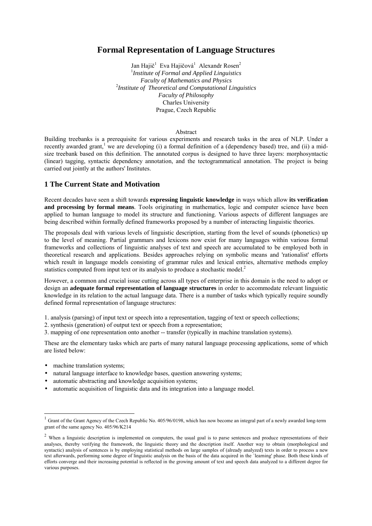# **Formal Representation of Language Structures**

Jan Hajič<sup>1</sup> Eva Hajičová<sup>1</sup> Alexandr Rosen<sup>2</sup> 1 *Institute of Formal and Applied Linguistics Faculty of Mathematics and Physics* 2 *Institute of Theoretical and Computational Linguistics Faculty of Philosophy* Charles University Prague, Czech Republic

#### Abstract

Building treebanks is a prerequisite for various experiments and research tasks in the area of NLP. Under a recently awarded grant,<sup>1</sup> we are developing (i) a formal definition of a (dependency based) tree, and (ii) a midsize treebank based on this definition. The annotated corpus is designed to have three layers: morphosyntactic (linear) tagging, syntactic dependency annotation, and the tectogrammatical annotation. The project is being carried out jointly at the authors' Institutes.

## **1 The Current State and Motivation**

Recent decades have seen a shift towards **expressing linguistic knowledge** in ways which allow **its verification and processing by formal means**. Tools originating in mathematics, logic and computer science have been applied to human language to model its structure and functioning. Various aspects of different languages are being described within formally defined frameworks proposed by a number of interacting linguistic theories.

The proposals deal with various levels of linguistic description, starting from the level of sounds (phonetics) up to the level of meaning. Partial grammars and lexicons now exist for many languages within various formal frameworks and collections of linguistic analyses of text and speech are accumulated to be employed both in theoretical research and applications. Besides approaches relying on symbolic means and 'rationalist' efforts which result in language models consisting of grammar rules and lexical entries, alternative methods employ statistics computed from input text or its analysis to produce a stochastic model.<sup>2</sup>

However, a common and crucial issue cutting across all types of enterprise in this domain is the need to adopt or design an **adequate formal representation of language structures** in order to accommodate relevant linguistic knowledge in its relation to the actual language data. There is a number of tasks which typically require soundly defined formal representation of language structures:

- 1. analysis (parsing) of input text or speech into a representation, tagging of text or speech collections;
- 2. synthesis (generation) of output text or speech from a representation;
- 3. mapping of one representation onto another -- transfer (typically in machine translation systems).

These are the elementary tasks which are parts of many natural language processing applications, some of which are listed below:

• machine translation systems;

l

- natural language interface to knowledge bases, question answering systems;
- automatic abstracting and knowledge acquisition systems;
- automatic acquisition of linguistic data and its integration into a language model.

 $1$  Grant of the Grant Agency of the Czech Republic No. 405/96/0198, which has now become an integral part of a newly awarded long-term grant of the same agency No. 405/96/K214

<sup>&</sup>lt;sup>2</sup> When a linguistic description is implemented on computers, the usual goal is to parse sentences and produce representations of their analyses, thereby verifying the framework, the linguistic theory and the description itself. Another way to obtain (morphological and syntactic) analysis of sentences is by employing statistical methods on large samples of (already analyzed) texts in order to process a new text afterwards, performing some degree of linguistic analysis on the basis of the data acquired in the `learning' phase. Both these kinds of efforts converge and their increasing potential is reflected in the growing amount of text and speech data analyzed to a different degree for various purposes.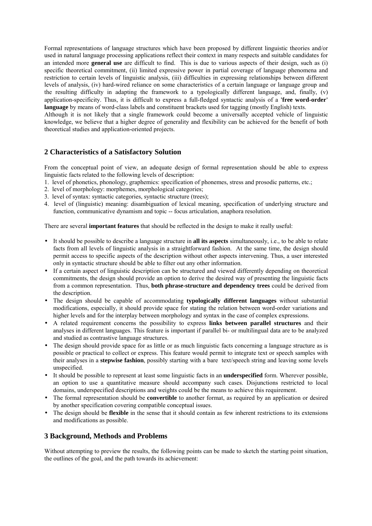Formal representations of language structures which have been proposed by different linguistic theories and/or used in natural language processing applications reflect their context in many respects and suitable candidates for an intended more **general use** are difficult to find. This is due to various aspects of their design, such as (i) specific theoretical commitment, (ii) limited expressive power in partial coverage of language phenomena and restriction to certain levels of linguistic analysis, (iii) difficulties in expressing relationships between different levels of analysis, (iv) hard-wired reliance on some characteristics of a certain language or language group and the resulting difficulty in adapting the framework to a typologically different language, and, finally, (v) application-specificity. Thus, it is difficult to express a full-fledged syntactic analysis of a **'free word-order' language** by means of word-class labels and constituent brackets used for tagging (mostly English) texts.

Although it is not likely that a single framework could become a universally accepted vehicle of linguistic knowledge, we believe that a higher degree of generality and flexibility can be achieved for the benefit of both theoretical studies and application-oriented projects.

# **2 Characteristics of a Satisfactory Solution**

From the conceptual point of view, an adequate design of formal representation should be able to express linguistic facts related to the following levels of description:

- 1. level of phonetics, phonology, graphemics: specification of phonemes, stress and prosodic patterns, etc.;
- 2. level of morphology: morphemes, morphological categories;
- 3. level of syntax: syntactic categories, syntactic structure (trees);
- 4. level of (linguistic) meaning: disambiguation of lexical meaning, specification of underlying structure and function, communicative dynamism and topic -- focus articulation, anaphora resolution.

There are several **important features** that should be reflected in the design to make it really useful:

- It should be possible to describe a language structure in **all its aspects** simultaneously, i.e., to be able to relate facts from all levels of linguistic analysis in a straightforward fashion. At the same time, the design should permit access to specific aspects of the description without other aspects intervening. Thus, a user interested only in syntactic structure should be able to filter out any other information.
- If a certain aspect of linguistic description can be structured and viewed differently depending on theoretical commitments, the design should provide an option to derive the desired way of presenting the linguistic facts from a common representation. Thus, **both phrase-structure and dependency trees** could be derived from the description.
- The design should be capable of accommodating **typologically different languages** without substantial modifications, especially, it should provide space for stating the relation between word-order variations and higher levels and for the interplay between morphology and syntax in the case of complex expressions.
- A related requirement concerns the possibility to express **links between parallel structures** and their analyses in different languages. This feature is important if parallel bi- or multilingual data are to be analyzed and studied as contrastive language structures.
- The design should provide space for as little or as much linguistic facts concerning a language structure as is possible or practical to collect or express. This feature would permit to integrate text or speech samples with their analyses in a **stepwise fashion**, possibly starting with a bare text/speech string and leaving some levels unspecified.
- It should be possible to represent at least some linguistic facts in an **underspecified** form. Wherever possible, an option to use a quantitative measure should accompany such cases. Disjunctions restricted to local domains, underspecified descriptions and weights could be the means to achieve this requirement.
- The formal representation should be **convertible** to another format, as required by an application or desired by another specification covering compatible conceptual issues.
- The design should be **flexible** in the sense that it should contain as few inherent restrictions to its extensions and modifications as possible.

## **3 Background, Methods and Problems**

Without attempting to preview the results, the following points can be made to sketch the starting point situation, the outlines of the goal, and the path towards its achievement: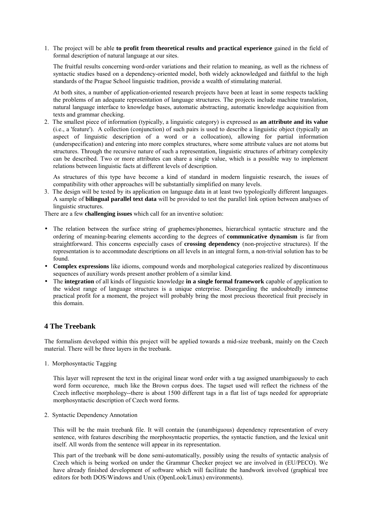1. The project will be able **to profit from theoretical results and practical experience** gained in the field of formal description of natural language at our sites.

The fruitful results concerning word-order variations and their relation to meaning, as well as the richness of syntactic studies based on a dependency-oriented model, both widely acknowledged and faithful to the high standards of the Prague School linguistic tradition, provide a wealth of stimulating material.

At both sites, a number of application-oriented research projects have been at least in some respects tackling the problems of an adequate representation of language structures. The projects include machine translation, natural language interface to knowledge bases, automatic abstracting, automatic knowledge acquisition from texts and grammar checking.

2. The smallest piece of information (typically, a linguistic category) is expressed as **an attribute and its value** (i.e., a 'feature'). A collection (conjunction) of such pairs is used to describe a linguistic object (typically an aspect of linguistic description of a word or a collocation), allowing for partial information (underspecification) and entering into more complex structures, where some attribute values are not atoms but structures. Through the recursive nature of such a representation, linguistic structures of arbitrary complexity can be described. Two or more attributes can share a single value, which is a possible way to implement relations between linguistic facts at different levels of description.

As structures of this type have become a kind of standard in modern linguistic research, the issues of compatibility with other approaches will be substantially simplified on many levels.

3. The design will be tested by its application on language data in at least two typologically different languages. A sample of **bilingual parallel text data** will be provided to test the parallel link option between analyses of linguistic structures.

There are a few **challenging issues** which call for an inventive solution:

- The relation between the surface string of graphemes/phonemes, hierarchical syntactic structure and the ordering of meaning-bearing elements according to the degrees of **communicative dynamism** is far from straightforward. This concerns especially cases of **crossing dependency** (non-projective structures). If the representation is to accommodate descriptions on all levels in an integral form, a non-trivial solution has to be found.
- **Complex expressions** like idioms, compound words and morphological categories realized by discontinuous sequences of auxiliary words present another problem of a similar kind.
- The **integration** of all kinds of linguistic knowledge **in a single formal framework** capable of application to the widest range of language structures is a unique enterprise. Disregarding the undoubtedly immense practical profit for a moment, the project will probably bring the most precious theoretical fruit precisely in this domain.

## **4 The Treebank**

The formalism developed within this project will be applied towards a mid-size treebank, mainly on the Czech material. There will be three layers in the treebank.

1. Morphosyntactic Tagging

This layer will represent the text in the original linear word order with a tag assigned unambiguously to each word form occurence, much like the Brown corpus does. The tagset used will reflect the richness of the Czech inflective morphology--there is about 1500 different tags in a flat list of tags needed for appropriate morphosyntactic description of Czech word forms.

2. Syntactic Dependency Annotation

This will be the main treebank file. It will contain the (unambiguous) dependency representation of every sentence, with features describing the morphosyntactic properties, the syntactic function, and the lexical unit itself. All words from the sentence will appear in its representation.

This part of the treebank will be done semi-automatically, possibly using the results of syntactic analysis of Czech which is being worked on under the Grammar Checker project we are involved in (EU/PECO). We have already finished development of software which will facilitate the handwork involved (graphical tree editors for both DOS/Windows and Unix (OpenLook/Linux) environments).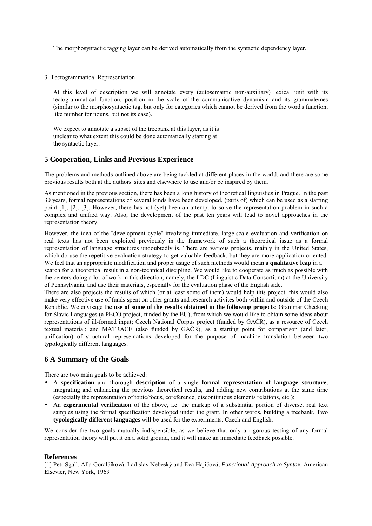The morphosyntactic tagging layer can be derived automatically from the syntactic dependency layer.

3. Tectogrammatical Representation

At this level of description we will annotate every (autosemantic non-auxiliary) lexical unit with its tectogrammatical function, position in the scale of the communicative dynamism and its grammatemes (similar to the morphosyntactic tag, but only for categories which cannot be derived from the word's function, like number for nouns, but not its case).

We expect to annotate a subset of the treebank at this layer, as it is unclear to what extent this could be done automatically starting at the syntactic layer.

## **5 Cooperation, Links and Previous Experience**

The problems and methods outlined above are being tackled at different places in the world, and there are some previous results both at the authors' sites and elsewhere to use and/or be inspired by them.

As mentioned in the previous section, there has been a long history of theoretical linguistics in Prague. In the past 30 years, formal representations of several kinds have been developed, (parts of) which can be used as a starting point [1], [2], [3]. However, there has not (yet) been an attempt to solve the representation problem in such a complex and unified way. Also, the development of the past ten years will lead to novel approaches in the representation theory.

However, the idea of the ''development cycle'' involving immediate, large-scale evaluation and verification on real texts has not been exploited previously in the framework of such a theoretical issue as a formal representation of language structures undoubtedly is. There are various projects, mainly in the United States, which do use the repetitive evaluation strategy to get valuable feedback, but they are more application-oriented. We feel that an appropriate modification and proper usage of such methods would mean a **qualitative leap** in a

search for a theoretical result in a non-technical discipline. We would like to cooperate as much as possible with the centers doing a lot of work in this direction, namely, the LDC (Linguistic Data Consortium) at the University of Pennsylvania, and use their materials, especially for the evaluation phase of the English side.

There are also projects the results of which (or at least some of them) would help this project: this would also make very effective use of funds spent on other grants and research activites both within and outside of the Czech Republic. We envisage the **use of some of the results obtained in the following projects**: Grammar Checking for Slavic Languages (a PECO project, funded by the EU), from which we would like to obtain some ideas about representations of ill-formed input; Czech National Corpus project (funded by GAČR), as a resource of Czech textual material; and MATRACE (also funded by GAČR), as a starting point for comparison (and later, unification) of structural representations developed for the purpose of machine translation between two typologically different languages.

## **6 A Summary of the Goals**

There are two main goals to be achieved:

- A **specification** and thorough **description** of a single **formal representation of language structure**, integrating and enhancing the previous theoretical results, and adding new contributions at the same time (especially the representation of topic/focus, coreference, discontinuous elements relations, etc.);
- An **experimental verification** of the above, i.e. the markup of a substantial portion of diverse, real text samples using the formal specification developed under the grant. In other words, building a treebank. Two **typologically different languages** will be used for the experiments, Czech and English.

We consider the two goals mutually indispensible, as we believe that only a rigorous testing of any formal representation theory will put it on a solid ground, and it will make an immediate feedback possible.

### **References**

[1] Petr Sgall, Alla Goralčíková, Ladislav Nebeský and Eva Hajičová, *Functional Approach to Syntax*, American Elsevier, New York, 1969